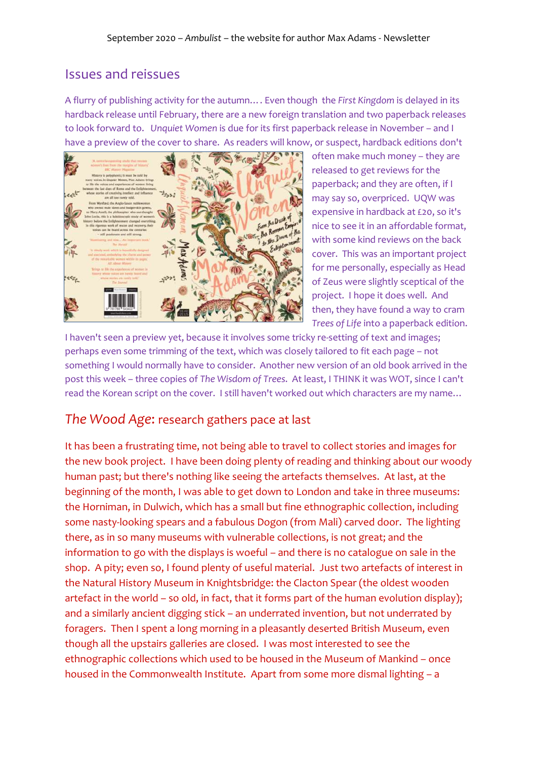## Issues and reissues

A flurry of publishing activity for the autumn…. Even though the *First Kingdom* is delayed in its hardback release until February, there are a new foreign translation and two paperback releases to look forward to. *Unquiet Women* is due for its first paperback release in November – and I have a preview of the cover to share. As readers will know, or suspect, hardback editions don't



often make much money – they are released to get reviews for the paperback; and they are often, if I may say so, overpriced. UQW was expensive in hardback at £20, so it's nice to see it in an affordable format, with some kind reviews on the back cover. This was an important project for me personally, especially as Head of Zeus were slightly sceptical of the project. I hope it does well. And then, they have found a way to cram *Trees of Life* into a paperback edition.

I haven't seen a preview yet, because it involves some tricky re-setting of text and images; perhaps even some trimming of the text, which was closely tailored to fit each page – not something I would normally have to consider. Another new version of an old book arrived in the post this week – three copies of *The Wisdom of Trees*. At least, I THINK it was WOT, since I can't read the Korean script on the cover. I still haven't worked out which characters are my name…

## *The Wood Age*: research gathers pace at last

It has been a frustrating time, not being able to travel to collect stories and images for the new book project. I have been doing plenty of reading and thinking about our woody human past; but there's nothing like seeing the artefacts themselves. At last, at the beginning of the month, I was able to get down to London and take in three museums: the Horniman, in Dulwich, which has a small but fine ethnographic collection, including some nasty-looking spears and a fabulous Dogon (from Mali) carved door. The lighting there, as in so many museums with vulnerable collections, is not great; and the information to go with the displays is woeful – and there is no catalogue on sale in the shop. A pity; even so, I found plenty of useful material. Just two artefacts of interest in the Natural History Museum in Knightsbridge: the Clacton Spear (the oldest wooden artefact in the world – so old, in fact, that it forms part of the human evolution display); and a similarly ancient digging stick – an underrated invention, but not underrated by foragers. Then I spent a long morning in a pleasantly deserted British Museum, even though all the upstairs galleries are closed. I was most interested to see the ethnographic collections which used to be housed in the Museum of Mankind – once housed in the Commonwealth Institute. Apart from some more dismal lighting – a